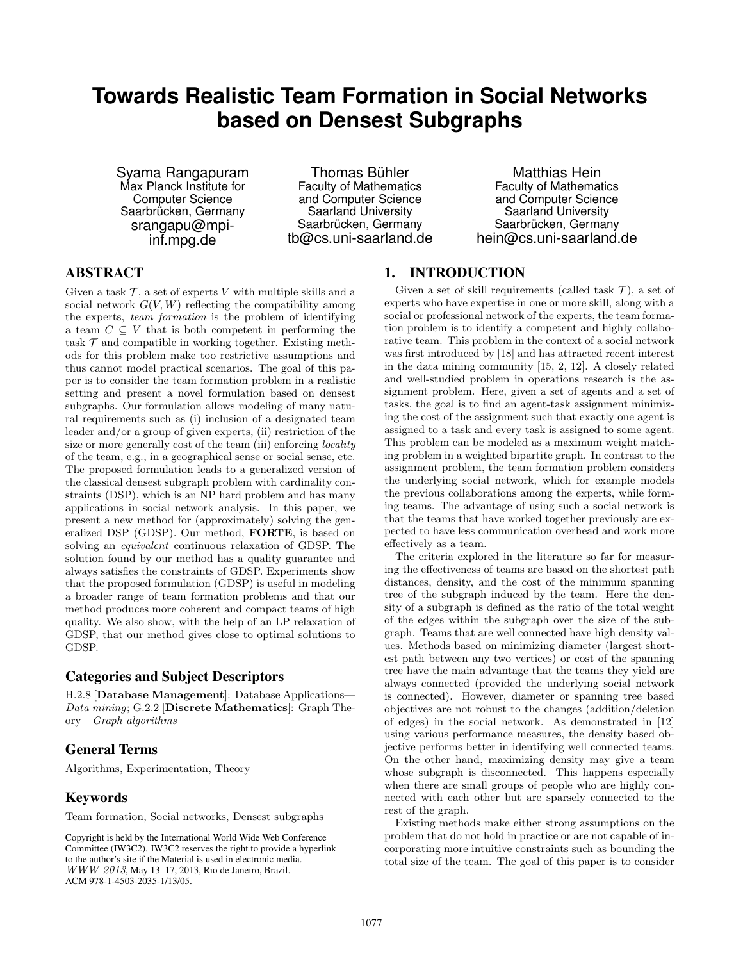# **Towards Realistic Team Formation in Social Networks based on Densest Subgraphs**

Syama Rangapuram Max Planck Institute for Computer Science Saarbrücken, Germany srangapu@mpiinf.mpg.de

Thomas Bühler Faculty of Mathematics and Computer Science Saarland University Saarbrücken, Germany tb@cs.uni-saarland.de

Matthias Hein Faculty of Mathematics and Computer Science Saarland University Saarbrücken, Germany hein@cs.uni-saarland.de

# **ABSTRACT**

Given a task  $\mathcal{T}$ , a set of experts V with multiple skills and a social network  $G(V, W)$  reflecting the compatibility among the experts, *team formation* is the problem of identifying a team  $C \subseteq V$  that is both competent in performing the task  $\mathcal T$  and compatible in working together. Existing methods for this problem make too restrictive assumptions and thus cannot model practical scenarios. The goal of this paper is to consider the team formation problem in a realistic setting and present a novel formulation based on densest subgraphs. Our formulation allows modeling of many natural requirements such as (i) inclusion of a designated team leader and/or a group of given experts, (ii) restriction of the size or more generally cost of the team (iii) enforcing *locality* of the team, e.g., in a geographical sense or social sense, etc. The proposed formulation leads to a generalized version of the classical densest subgraph problem with cardinality constraints (DSP), which is an NP hard problem and has many applications in social network analysis. In this paper, we present a new method for (approximately) solving the generalized DSP (GDSP). Our method, FORTE, is based on solving an *equivalent* continuous relaxation of GDSP. The solution found by our method has a quality guarantee and always satisfies the constraints of GDSP. Experiments show that the proposed formulation (GDSP) is useful in modeling a broader range of team formation problems and that our method produces more coherent and compact teams of high quality. We also show, with the help of an LP relaxation of GDSP, that our method gives close to optimal solutions to GDSP.

# **Categories and Subject Descriptors**

H.2.8 [Database Management]: Database Applications— *Data mining*; G.2.2 [Discrete Mathematics]: Graph Theory—*Graph algorithms*

# **General Terms**

Algorithms, Experimentation, Theory

# **Keywords**

Team formation, Social networks, Densest subgraphs

Copyright is held by the International World Wide Web Conference Committee (IW3C2). IW3C2 reserves the right to provide a hyperlink to the author's site if the Material is used in electronic media. *WWW 2013*, May 13–17, 2013, Rio de Janeiro, Brazil. ACM 978-1-4503-2035-1/13/05.

# **1. INTRODUCTION**

Given a set of skill requirements (called task  $\mathcal{T}$ ), a set of experts who have expertise in one or more skill, along with a social or professional network of the experts, the team formation problem is to identify a competent and highly collaborative team. This problem in the context of a social network was first introduced by [18] and has attracted recent interest in the data mining community [15, 2, 12]. A closely related and well-studied problem in operations research is the assignment problem. Here, given a set of agents and a set of tasks, the goal is to find an agent-task assignment minimizing the cost of the assignment such that exactly one agent is assigned to a task and every task is assigned to some agent. This problem can be modeled as a maximum weight matching problem in a weighted bipartite graph. In contrast to the assignment problem, the team formation problem considers the underlying social network, which for example models the previous collaborations among the experts, while forming teams. The advantage of using such a social network is that the teams that have worked together previously are expected to have less communication overhead and work more effectively as a team.

The criteria explored in the literature so far for measuring the effectiveness of teams are based on the shortest path distances, density, and the cost of the minimum spanning tree of the subgraph induced by the team. Here the density of a subgraph is defined as the ratio of the total weight of the edges within the subgraph over the size of the subgraph. Teams that are well connected have high density values. Methods based on minimizing diameter (largest shortest path between any two vertices) or cost of the spanning tree have the main advantage that the teams they yield are always connected (provided the underlying social network is connected). However, diameter or spanning tree based objectives are not robust to the changes (addition/deletion of edges) in the social network. As demonstrated in [12] using various performance measures, the density based objective performs better in identifying well connected teams. On the other hand, maximizing density may give a team whose subgraph is disconnected. This happens especially when there are small groups of people who are highly connected with each other but are sparsely connected to the rest of the graph.

Existing methods make either strong assumptions on the problem that do not hold in practice or are not capable of incorporating more intuitive constraints such as bounding the total size of the team. The goal of this paper is to consider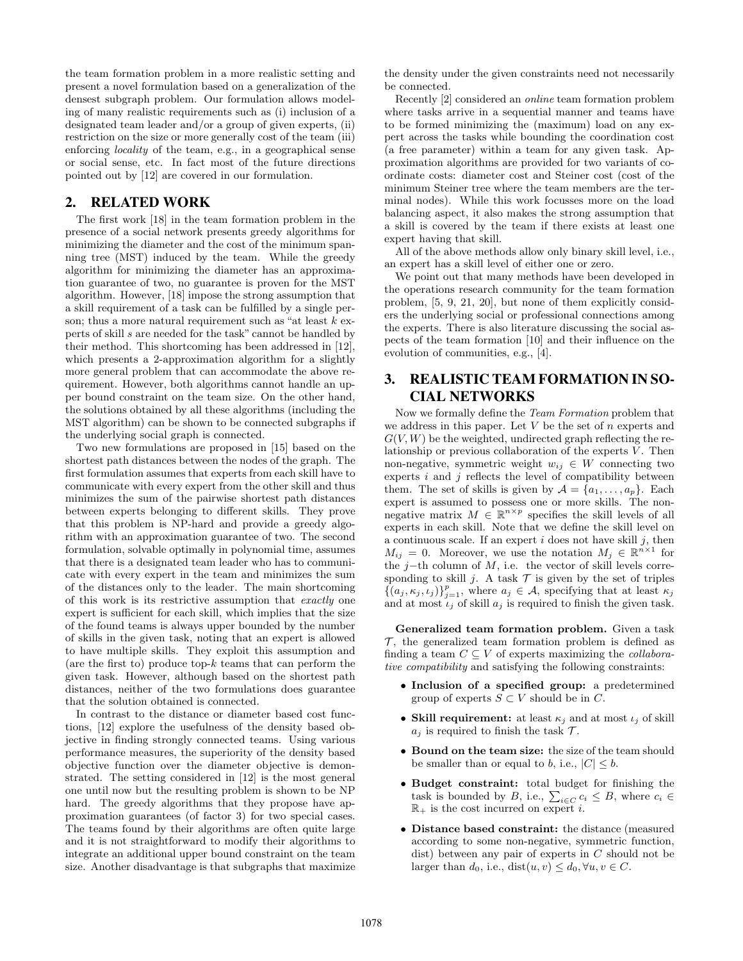the team formation problem in a more realistic setting and present a novel formulation based on a generalization of the densest subgraph problem. Our formulation allows modeling of many realistic requirements such as (i) inclusion of a designated team leader and/or a group of given experts, (ii) restriction on the size or more generally cost of the team (iii) enforcing *locality* of the team, e.g., in a geographical sense or social sense, etc. In fact most of the future directions pointed out by [12] are covered in our formulation.

### **2. RELATED WORK**

The first work [18] in the team formation problem in the presence of a social network presents greedy algorithms for minimizing the diameter and the cost of the minimum spanning tree (MST) induced by the team. While the greedy algorithm for minimizing the diameter has an approximation guarantee of two, no guarantee is proven for the MST algorithm. However, [18] impose the strong assumption that a skill requirement of a task can be fulfilled by a single person; thus a more natural requirement such as "at least  $k$  experts of skill s are needed for the task" cannot be handled by their method. This shortcoming has been addressed in [12], which presents a 2-approximation algorithm for a slightly more general problem that can accommodate the above requirement. However, both algorithms cannot handle an upper bound constraint on the team size. On the other hand, the solutions obtained by all these algorithms (including the MST algorithm) can be shown to be connected subgraphs if the underlying social graph is connected.

Two new formulations are proposed in [15] based on the shortest path distances between the nodes of the graph. The first formulation assumes that experts from each skill have to communicate with every expert from the other skill and thus minimizes the sum of the pairwise shortest path distances between experts belonging to different skills. They prove that this problem is NP-hard and provide a greedy algorithm with an approximation guarantee of two. The second formulation, solvable optimally in polynomial time, assumes that there is a designated team leader who has to communicate with every expert in the team and minimizes the sum of the distances only to the leader. The main shortcoming of this work is its restrictive assumption that *exactly* one expert is sufficient for each skill, which implies that the size of the found teams is always upper bounded by the number of skills in the given task, noting that an expert is allowed to have multiple skills. They exploit this assumption and (are the first to) produce top- $k$  teams that can perform the given task. However, although based on the shortest path distances, neither of the two formulations does guarantee that the solution obtained is connected.

In contrast to the distance or diameter based cost functions, [12] explore the usefulness of the density based objective in finding strongly connected teams. Using various performance measures, the superiority of the density based objective function over the diameter objective is demonstrated. The setting considered in [12] is the most general one until now but the resulting problem is shown to be NP hard. The greedy algorithms that they propose have approximation guarantees (of factor 3) for two special cases. The teams found by their algorithms are often quite large and it is not straightforward to modify their algorithms to integrate an additional upper bound constraint on the team size. Another disadvantage is that subgraphs that maximize

the density under the given constraints need not necessarily be connected.

Recently [2] considered an *online* team formation problem where tasks arrive in a sequential manner and teams have to be formed minimizing the (maximum) load on any expert across the tasks while bounding the coordination cost (a free parameter) within a team for any given task. Approximation algorithms are provided for two variants of coordinate costs: diameter cost and Steiner cost (cost of the minimum Steiner tree where the team members are the terminal nodes). While this work focusses more on the load balancing aspect, it also makes the strong assumption that a skill is covered by the team if there exists at least one expert having that skill.

All of the above methods allow only binary skill level, i.e., an expert has a skill level of either one or zero.

We point out that many methods have been developed in the operations research community for the team formation problem, [5, 9, 21, 20], but none of them explicitly considers the underlying social or professional connections among the experts. There is also literature discussing the social aspects of the team formation [10] and their influence on the evolution of communities, e.g., [4].

# **3. REALISTIC TEAM FORMATION IN SO-CIAL NETWORKS**

Now we formally define the *Team Formation* problem that we address in this paper. Let  $V$  be the set of  $n$  experts and  $G(V, W)$  be the weighted, undirected graph reflecting the relationship or previous collaboration of the experts  $V$ . Then non-negative, symmetric weight  $w_{ij} \in W$  connecting two experts  $i$  and  $j$  reflects the level of compatibility between them. The set of skills is given by  $\mathcal{A} = \{a_1, \ldots, a_p\}$ . Each expert is assumed to possess one or more skills. The nonnegative matrix  $M \in \mathbb{R}^{n \times p}$  specifies the skill levels of all experts in each skill. Note that we define the skill level on a continuous scale. If an expert  $i$  does not have skill  $j$ , then  $M_{ij} = 0$ . Moreover, we use the notation  $M_j \in \mathbb{R}^{n \times 1}$  for the j−th column of  $M$ , i.e. the vector of skill levels corresponding to skill j. A task  $\mathcal T$  is given by the set of triples  $\{(a_j, \kappa_j, \iota_j)\}_{j=1}^p$ , where  $a_j \in \mathcal{A}$ , specifying that at least  $\kappa_j$ and at most  $i_j$  of skill  $a_j$  is required to finish the given task.

Generalized team formation problem. Given a task  $\mathcal{T}$ , the generalized team formation problem is defined as finding a team  $C \subseteq V$  of experts maximizing the *collaborative compatibility* and satisfying the following constraints:

- Inclusion of a specified group: a predetermined group of experts  $S \subset V$  should be in C.
- Skill requirement: at least  $\kappa_i$  and at most  $\iota_i$  of skill  $a_i$  is required to finish the task  $\mathcal{T}$ .
- Bound on the team size: the size of the team should be smaller than or equal to b, i.e.,  $|C| \leq b$ .
- Budget constraint: total budget for finishing the task is bounded by B, i.e.,  $\sum_{i \in C} c_i \leq B$ , where  $c_i \in$  $\mathbb{R}_+$  is the cost incurred on expert *i*.
- Distance based constraint: the distance (measured according to some non-negative, symmetric function, dist) between any pair of experts in  $C$  should not be larger than  $d_0$ , i.e.,  $dist(u, v) \leq d_0, \forall u, v \in C$ .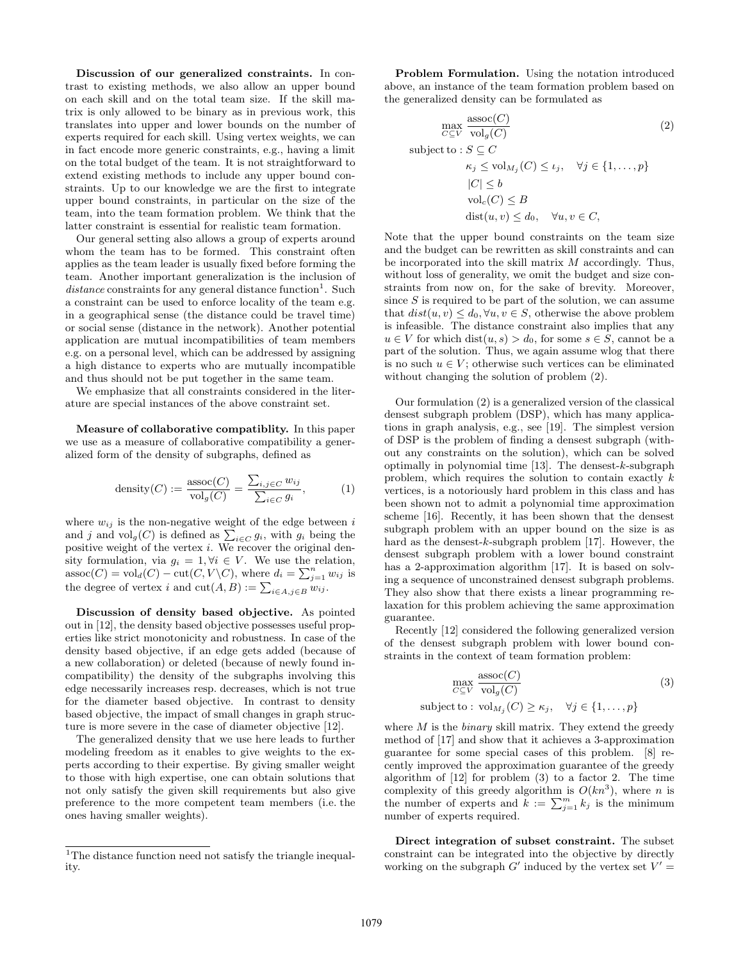Discussion of our generalized constraints. In contrast to existing methods, we also allow an upper bound on each skill and on the total team size. If the skill matrix is only allowed to be binary as in previous work, this translates into upper and lower bounds on the number of experts required for each skill. Using vertex weights, we can in fact encode more generic constraints, e.g., having a limit on the total budget of the team. It is not straightforward to extend existing methods to include any upper bound constraints. Up to our knowledge we are the first to integrate upper bound constraints, in particular on the size of the team, into the team formation problem. We think that the latter constraint is essential for realistic team formation.

Our general setting also allows a group of experts around whom the team has to be formed. This constraint often applies as the team leader is usually fixed before forming the team. Another important generalization is the inclusion of  $distance$  constraints for any general distance function<sup>1</sup>. Such a constraint can be used to enforce locality of the team e.g. in a geographical sense (the distance could be travel time) or social sense (distance in the network). Another potential application are mutual incompatibilities of team members e.g. on a personal level, which can be addressed by assigning a high distance to experts who are mutually incompatible and thus should not be put together in the same team.

We emphasize that all constraints considered in the literature are special instances of the above constraint set.

Measure of collaborative compatiblity. In this paper we use as a measure of collaborative compatibility a generalized form of the density of subgraphs, defined as

$$
density(C) := \frac{assoc(C)}{vol_g(C)} = \frac{\sum_{i,j \in C} w_{ij}}{\sum_{i \in C} g_i},
$$
 (1)

where  $w_{ij}$  is the non-negative weight of the edge between  $i$ and j and  $\mathrm{vol}_g(C)$  is defined as  $\sum_{i \in C} g_i$ , with  $g_i$  being the positive weight of the vertex *i*. We recover the original density formulation, via  $g_i = 1, \forall i \in V$ . We use the relation, assoc $(C) = \text{vol}_d(C) - \text{cut}(C, V \backslash C)$ , where  $d_i = \sum_{j=1}^n w_{ij}$  is the degree of vertex i and  $\text{cut}(A, B) := \sum_{i \in A, j \in B} w_{ij}$ .

Discussion of density based objective. As pointed out in [12], the density based objective possesses useful properties like strict monotonicity and robustness. In case of the density based objective, if an edge gets added (because of a new collaboration) or deleted (because of newly found incompatibility) the density of the subgraphs involving this edge necessarily increases resp. decreases, which is not true for the diameter based objective. In contrast to density based objective, the impact of small changes in graph structure is more severe in the case of diameter objective [12].

The generalized density that we use here leads to further modeling freedom as it enables to give weights to the experts according to their expertise. By giving smaller weight to those with high expertise, one can obtain solutions that not only satisfy the given skill requirements but also give preference to the more competent team members (i.e. the ones having smaller weights).

Problem Formulation. Using the notation introduced above, an instance of the team formation problem based on the generalized density can be formulated as

$$
\max_{C \subseteq V} \frac{\operatorname{assoc}(C)}{\operatorname{vol}_g(C)}\tag{2}
$$
\n
$$
\text{subject to}: S \subseteq C
$$

$$
\kappa_j \le \text{vol}_{M_j}(C) \le \iota_j, \quad \forall j \in \{1, ..., p\}
$$
  
\n
$$
|C| \le b
$$
  
\n
$$
\text{vol}_c(C) \le B
$$
  
\n
$$
\text{dist}(u, v) \le d_0, \quad \forall u, v \in C,
$$

Note that the upper bound constraints on the team size and the budget can be rewritten as skill constraints and can be incorporated into the skill matrix  $M$  accordingly. Thus, without loss of generality, we omit the budget and size constraints from now on, for the sake of brevity. Moreover, since  $S$  is required to be part of the solution, we can assume that  $dist(u, v) \leq d_0, \forall u, v \in S$ , otherwise the above problem is infeasible. The distance constraint also implies that any  $u \in V$  for which  $dist(u, s) > d_0$ , for some  $s \in S$ , cannot be a part of the solution. Thus, we again assume wlog that there is no such  $u \in V$ ; otherwise such vertices can be eliminated without changing the solution of problem (2).

Our formulation (2) is a generalized version of the classical densest subgraph problem (DSP), which has many applications in graph analysis, e.g., see [19]. The simplest version of DSP is the problem of finding a densest subgraph (without any constraints on the solution), which can be solved optimally in polynomial time  $[13]$ . The densest-k-subgraph problem, which requires the solution to contain exactly  $k$ vertices, is a notoriously hard problem in this class and has been shown not to admit a polynomial time approximation scheme [16]. Recently, it has been shown that the densest subgraph problem with an upper bound on the size is as hard as the densest-k-subgraph problem  $[17]$ . However, the densest subgraph problem with a lower bound constraint has a 2-approximation algorithm [17]. It is based on solving a sequence of unconstrained densest subgraph problems. They also show that there exists a linear programming relaxation for this problem achieving the same approximation guarantee.

Recently [12] considered the following generalized version of the densest subgraph problem with lower bound constraints in the context of team formation problem:

$$
\max_{C \subseteq V} \frac{\operatorname{assoc}(C)}{\operatorname{vol}_g(C)} \tag{3}
$$
\n
$$
\text{subject to: } \operatorname{vol}_{M_j}(C) \ge \kappa_j, \quad \forall j \in \{1, \dots, p\}
$$

where M is the *binary* skill matrix. They extend the greedy method of [17] and show that it achieves a 3-approximation guarantee for some special cases of this problem. [8] recently improved the approximation guarantee of the greedy algorithm of [12] for problem (3) to a factor 2. The time complexity of this greedy algorithm is  $O(kn^3)$ , where *n* is the number of experts and  $\overline{k} := \sum_{j=1}^m k_j$  is the minimum number of experts required.

Direct integration of subset constraint. The subset constraint can be integrated into the objective by directly working on the subgraph  $G'$  induced by the vertex set  $V' =$ 

<sup>&</sup>lt;sup>1</sup>The distance function need not satisfy the triangle inequality.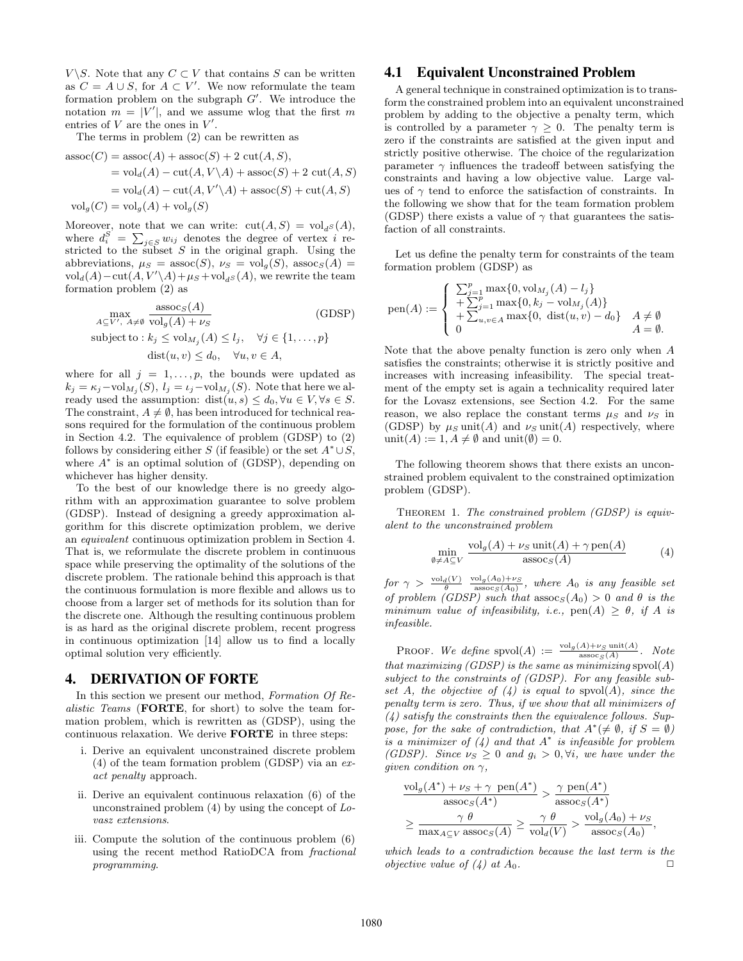$V \ S$ . Note that any  $C \subset V$  that contains S can be written as  $C = A \cup S$ , for  $A \subset V'$ . We now reformulate the team formation problem on the subgraph  $G'$ . We introduce the notation  $m = |V'|$ , and we assume wlog that the first m entries of  $V$  are the ones in  $V'$ .

The terms in problem (2) can be rewritten as

$$
assoc(C) = assoc(A) + assoc(S) + 2 cut(A, S),
$$
  
= vol<sub>d</sub>(A) - cut(A, V\A) + assoc(S) + 2 cut(A, S)  
= vol<sub>d</sub>(A) - cut(A, V'\A) + assoc(S) + cut(A, S)  
vol<sub>g</sub>(C) = vol<sub>g</sub>(A) + vol<sub>g</sub>(S)

Moreover, note that we can write:  $\text{cut}(A, S) = \text{vol}_{dS}(A),$ where  $d_i^S = \sum_{j \in S} w_{ij}$  denotes the degree of vertex i restricted to the subset  $S$  in the original graph. Using the abbreviations,  $\mu_S = \text{assoc}(S)$ ,  $\nu_S = \text{vol}_g(S)$ ,  $\text{assoc}_S(A) =$  $\mathrm{vol}_d(A) - \mathrm{cut}(A, V' \setminus A) + \mu_S + \mathrm{vol}_{d^S}(A)$ , we rewrite the team formation problem (2) as

$$
\max_{A \subseteq V', A \neq \emptyset} \frac{\operatorname{assoc}_S(A)}{\operatorname{vol}_g(A) + \nu_S} \quad \text{(GDSP)}
$$
\n
$$
\text{subject to: } k_j \le \operatorname{vol}_{M_j}(A) \le l_j, \quad \forall j \in \{1, ..., p\}
$$
\n
$$
\operatorname{dist}(u, v) \le d_0, \quad \forall u, v \in A,
$$

where for all  $j = 1, \ldots, p$ , the bounds were updated as  $k_j = \kappa_j - \text{vol}_{M_j}(S),\ l_j = \iota_j - \text{vol}_{M_j}(S).$  Note that here we already used the assumption: dist $(u, s) \leq d_0, \forall u \in V, \forall s \in S$ . The constraint,  $A \neq \emptyset$ , has been introduced for technical reasons required for the formulation of the continuous problem in Section 4.2. The equivalence of problem (GDSP) to (2) follows by considering either S (if feasible) or the set  $A^* \cup S$ , where  $A^*$  is an optimal solution of (GDSP), depending on whichever has higher density.

To the best of our knowledge there is no greedy algorithm with an approximation guarantee to solve problem (GDSP). Instead of designing a greedy approximation algorithm for this discrete optimization problem, we derive an *equivalent* continuous optimization problem in Section 4. That is, we reformulate the discrete problem in continuous space while preserving the optimality of the solutions of the discrete problem. The rationale behind this approach is that the continuous formulation is more flexible and allows us to choose from a larger set of methods for its solution than for the discrete one. Although the resulting continuous problem is as hard as the original discrete problem, recent progress in continuous optimization [14] allow us to find a locally optimal solution very efficiently.

#### **4. DERIVATION OF FORTE**

In this section we present our method, *Formation Of Realistic Teams* (FORTE, for short) to solve the team formation problem, which is rewritten as (GDSP), using the continuous relaxation. We derive FORTE in three steps:

- i. Derive an equivalent unconstrained discrete problem (4) of the team formation problem (GDSP) via an *exact penalty* approach.
- ii. Derive an equivalent continuous relaxation (6) of the unconstrained problem (4) by using the concept of *Lovasz extensions*.
- iii. Compute the solution of the continuous problem (6) using the recent method RatioDCA from *fractional programming*.

# **4.1 Equivalent Unconstrained Problem**

A general technique in constrained optimization is to transform the constrained problem into an equivalent unconstrained problem by adding to the objective a penalty term, which is controlled by a parameter  $\gamma \geq 0$ . The penalty term is zero if the constraints are satisfied at the given input and strictly positive otherwise. The choice of the regularization parameter  $\gamma$  influences the tradeoff between satisfying the constraints and having a low objective value. Large values of  $\gamma$  tend to enforce the satisfaction of constraints. In the following we show that for the team formation problem (GDSP) there exists a value of  $\gamma$  that guarantees the satisfaction of all constraints.

Let us define the penalty term for constraints of the team formation problem (GDSP) as

pen(A) :=   
\n
$$
\begin{cases}\n\sum_{j=1}^{p} \max\{0, \text{vol}_{M_j}(A) - l_j\} \\
+ \sum_{j=1}^{p} \max\{0, k_j - \text{vol}_{M_j}(A)\} \\
+ \sum_{u,v \in A} \max\{0, \text{ dist}(u, v) - d_0\} & A \neq \emptyset \\
0 & A = \emptyset.\n\end{cases}
$$

Note that the above penalty function is zero only when A satisfies the constraints; otherwise it is strictly positive and increases with increasing infeasibility. The special treatment of the empty set is again a technicality required later for the Lovasz extensions, see Section 4.2. For the same reason, we also replace the constant terms  $\mu_S$  and  $\nu_S$  in (GDSP) by  $\mu_S$  unit(A) and  $\nu_S$  unit(A) respectively, where unit(A) := 1,  $A \neq \emptyset$  and unit( $\emptyset$ ) = 0.

The following theorem shows that there exists an unconstrained problem equivalent to the constrained optimization problem (GDSP).

THEOREM 1. The constrained problem *(GDSP)* is equiv*alent to the unconstrained problem*

$$
\min_{\emptyset \neq A \subseteq V} \frac{\text{vol}_g(A) + \nu_S \text{ unit}(A) + \gamma \text{ pen}(A)}{\text{assoc}_S(A)} \tag{4}
$$

 $for \gamma > \frac{vol_d(V)}{\theta} \frac{vol_g(A_0)+\nu_S}{\text{assoc}_S(A_0)}, \text{ where } A_0 \text{ is any feasible set}$ *of problem (GDSP) such that*  $assoc<sub>S</sub>(A<sub>0</sub>) > 0$  *and*  $\theta$  *is the minimum value of infeasibility, i.e.,*  $pen(A) \geq \theta$ *, if* A *is infeasible.*

PROOF. We define spvol $(A) := \frac{\text{vol}_g(A) + \nu_S \text{unit}(A)}{\text{assoc}_S(A)}$ . Note *that maximizing (GDSP) is the same as minimizing* spvol(A) *subject to the constraints of (GDSP). For any feasible subset* A*, the objective of (4) is equal to* spvol(A)*, since the penalty term is zero. Thus, if we show that all minimizers of (4) satisfy the constraints then the equivalence follows. Suppose, for the sake of contradiction, that*  $A^*(\neq \emptyset, if S = \emptyset)$ *is a minimizer of*  $(4)$  *and that*  $A^*$  *is infeasible for problem (GDSP). Since*  $\nu_s \geq 0$  *and*  $g_i > 0, \forall i$ *, we have under the given condition on* γ*,*

$$
\frac{\mathrm{vol}_g(A^*) + \nu_S + \gamma \ \mathrm{pen}(A^*)}{\mathrm{assoc}_S(A^*)} > \frac{\gamma \ \mathrm{pen}(A^*)}{\mathrm{assoc}_S(A^*)}
$$

$$
\geq \frac{\gamma \ \theta}{\max_{A \subseteq V} \mathrm{assoc}_S(A)} \geq \frac{\gamma \ \theta}{\mathrm{vol}_d(V)} > \frac{\mathrm{vol}_g(A_0) + \nu_S}{\mathrm{assoc}_S(A_0)},
$$

*which leads to a contradiction because the last term is the objective value of (4) at*  $A_0$ .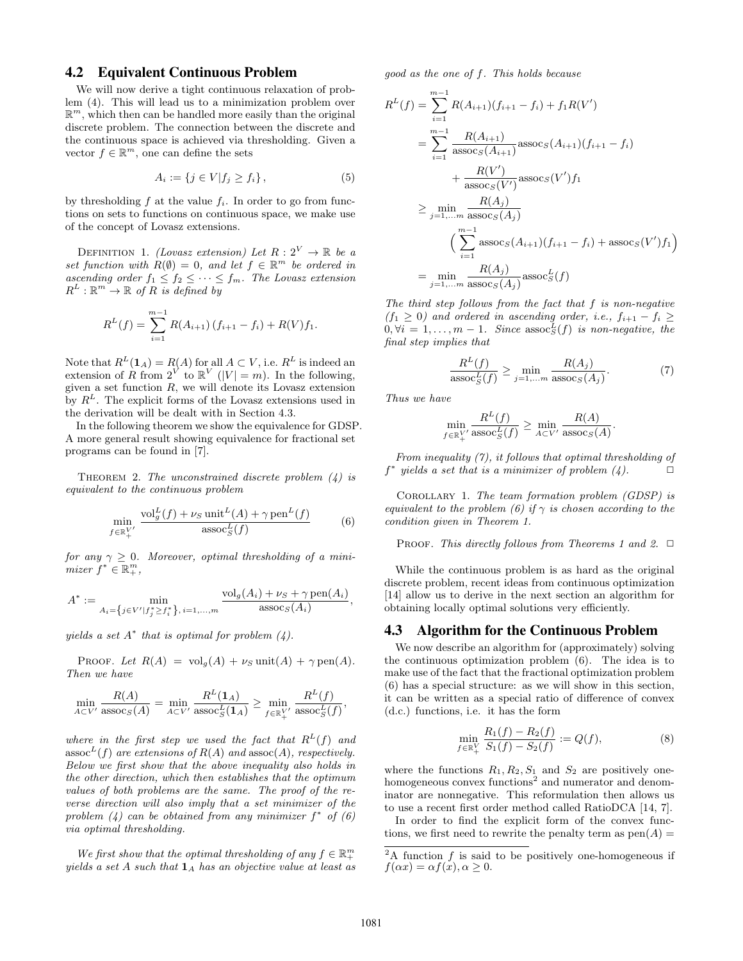#### **4.2 Equivalent Continuous Problem**

We will now derive a tight continuous relaxation of problem (4). This will lead us to a minimization problem over  $\mathbb{R}^m$ , which then can be handled more easily than the original discrete problem. The connection between the discrete and the continuous space is achieved via thresholding. Given a vector  $f \in \mathbb{R}^m$ , one can define the sets

$$
A_i := \{ j \in V | f_j \ge f_i \},\tag{5}
$$

by thresholding  $f$  at the value  $f_i$ . In order to go from functions on sets to functions on continuous space, we make use of the concept of Lovasz extensions.

DEFINITION 1. *(Lovasz extension)* Let  $R: 2^V \rightarrow \mathbb{R}$  be a set function with  $R(\emptyset) = 0$ , and let  $f \in \mathbb{R}^m$  be ordered in *ascending order*  $f_1 \leq f_2 \leq \cdots \leq f_m$ . The Lovasz extension  $R^L: \mathbb{R}^m \to \mathbb{R}$  of R is defined by

$$
R^{L}(f) = \sum_{i=1}^{m-1} R(A_{i+1}) (f_{i+1} - f_i) + R(V) f_1.
$$

Note that  $R^L(\mathbf{1}_A) = R(A)$  for all  $A \subset V$ , i.e.  $R^L$  is indeed an extension of R from  $2^V$  to  $\mathbb{R}^V$  ( $|V| = m$ ). In the following, given a set function  $R$ , we will denote its Lovasz extension by  $R^L$ . The explicit forms of the Lovasz extensions used in the derivation will be dealt with in Section 4.3.

In the following theorem we show the equivalence for GDSP. A more general result showing equivalence for fractional set programs can be found in [7].

Theorem 2. *The unconstrained discrete problem (4) is equivalent to the continuous problem*

$$
\min_{f \in \mathbb{R}_+^V'} \frac{\text{vol}_g^L(f) + \nu_S \text{ unit}^L(A) + \gamma \text{ pen}^L(f)}{\text{assoc}_S^L(f)} \tag{6}
$$

*for any*  $\gamma \geq 0$ *. Moreover, optimal thresholding of a mini* $mizer \, f^* \in \mathbb{R}_+^m,$ 

$$
A^* := \min_{A_i = \left\{ j \in V' | f_j^* \ge f_i^* \right\}, i = 1, \dots, m} \frac{\text{vol}_g(A_i) + \nu_S + \gamma \text{ pen}(A_i)}{\text{assoc}_S(A_i)},
$$

*yields a set*  $A^*$  *that is optimal for problem (4).* 

PROOF. Let  $R(A) = \text{vol}_g(A) + \nu_S \text{unit}(A) + \gamma \text{pen}(A)$ . *Then we have*

$$
\min_{A \subset V'} \frac{R(A)}{\mathrm{assoc}_S(A)} = \min_{A \subset V'} \frac{R^L(\mathbf{1}_A)}{\mathrm{assoc}^L_S(\mathbf{1}_A)} \ge \min_{f \in \mathbb{R}_+^{V'}} \frac{R^L(f)}{\mathrm{assoc}^L_S(f)},
$$

where in the first step we used the fact that  $R^L(f)$  and  $\operatorname{assoc}^L(f)$  are extensions of  $R(A)$  and  $\operatorname{assoc}(A)$ , respectively. *Below we first show that the above inequality also holds in the other direction, which then establishes that the optimum values of both problems are the same. The proof of the reverse direction will also imply that a set minimizer of the* problem  $(4)$  can be obtained from any minimizer  $f^*$  of  $(6)$ *via optimal thresholding.*

We first show that the optimal thresholding of any  $f \in \mathbb{R}^m_+$ *yields a set* A *such that* 1<sup>A</sup> *has an objective value at least as* *good as the one of* f*. This holds because*

$$
R^{L}(f) = \sum_{i=1}^{m-1} R(A_{i+1})(f_{i+1} - f_i) + f_1 R(V')
$$
  
= 
$$
\sum_{i=1}^{m-1} \frac{R(A_{i+1})}{\operatorname{assoc}_S(A_{i+1})} \operatorname{assoc}_S(A_{i+1})(f_{i+1} - f_i)
$$
  
+ 
$$
\frac{R(V')}{\operatorname{assoc}_S(V')} \operatorname{assoc}_S(V')f_1
$$
  

$$
\geq \min_{j=1,...m} \frac{R(A_j)}{\operatorname{assoc}_S(A_j)}
$$
  

$$
\left(\sum_{i=1}^{m-1} \operatorname{assoc}_S(A_{i+1})(f_{i+1} - f_i) + \operatorname{assoc}_S(V')f_1\right)
$$
  
= 
$$
\min_{j=1,...m} \frac{R(A_j)}{\operatorname{assoc}_S(A_j)} \operatorname{assoc}_S(f)
$$

*The third step follows from the fact that* f *is non-negative*  $(f_1 \geq 0)$  and ordered in ascending order, i.e.,  $f_{i+1} - f_i \geq$  $0, \forall i = 1, \ldots, m - 1$ . Since  $\operatorname{assoc}^L_S(f)$  is non-negative, the *final step implies that*

$$
\frac{R^L(f)}{\operatorname{assoc}_{S}^{L}(f)} \ge \min_{j=1,\dots m} \frac{R(A_j)}{\operatorname{assoc}_{S}(A_j)}.\tag{7}
$$

*Thus we have*

$$
\min_{f \in \mathbb{R}_+^V} \frac{R^L(f)}{\operatorname{assoc}^L_S(f)} \ge \min_{A \subset V'} \frac{R(A)}{\operatorname{assoc}_S(A)}.
$$

*From inequality (7), it follows that optimal thresholding of*  $f^*$  yields a set that is a minimizer of problem  $(4)$ .

Corollary 1. *The team formation problem (GDSP) is equivalent to the problem (6) if*  $\gamma$  *is chosen according to the condition given in Theorem 1.*

PROOF. This directly follows from Theorems 1 and 2.  $\Box$ 

While the continuous problem is as hard as the original discrete problem, recent ideas from continuous optimization [14] allow us to derive in the next section an algorithm for obtaining locally optimal solutions very efficiently.

#### **4.3 Algorithm for the Continuous Problem**

We now describe an algorithm for (approximately) solving the continuous optimization problem (6). The idea is to make use of the fact that the fractional optimization problem (6) has a special structure: as we will show in this section, it can be written as a special ratio of difference of convex (d.c.) functions, i.e. it has the form

$$
\min_{f \in \mathbb{R}_+^V} \frac{R_1(f) - R_2(f)}{S_1(f) - S_2(f)} := Q(f),\tag{8}
$$

where the functions  $R_1, R_2, S_1$  and  $S_2$  are positively onehomogeneous convex functions<sup>2</sup> and numerator and denominator are nonnegative. This reformulation then allows us to use a recent first order method called RatioDCA [14, 7].

 $\frac{1}{f}$ 

In order to find the explicit form of the convex functions, we first need to rewrite the penalty term as  $pen(A)$  =

 ${}^{2}$ A function f is said to be positively one-homogeneous if  $f(\alpha x) = \alpha f(x), \alpha \geq 0.$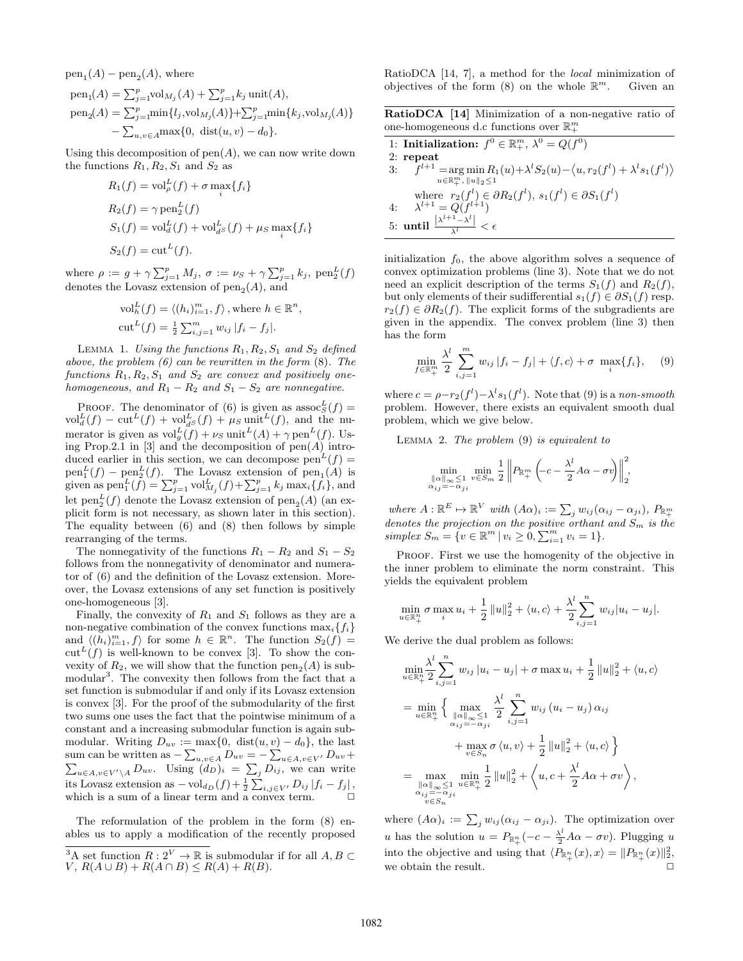$pen<sub>1</sub>(A) - pen<sub>2</sub>(A)$ , where

pen<sub>1</sub>(A) = 
$$
\sum_{j=1}^{p} \text{vol}_{M_j}(A) + \sum_{j=1}^{p} k_j \text{ unit}(A),
$$
  
pen<sub>2</sub>(A) =  $\sum_{j=1}^{p} \text{min}\{l_j, \text{vol}_{M_j}(A)\} + \sum_{j=1}^{p} \text{min}\{k_j, \text{vol}_{M_j}(A)\}$   
-  $\sum_{u,v \in A} \text{max}\{0, \text{ dist}(u, v) - d_0\}.$ 

Using this decomposition of  $pen(A)$ , we can now write down the functions  $R_1, R_2, S_1$  and  $S_2$  as

$$
R_1(f) = \text{vol}_{\rho}^L(f) + \sigma \max_i \{ f_i \}
$$
  
\n
$$
R_2(f) = \gamma \text{pen}_2^L(f)
$$
  
\n
$$
S_1(f) = \text{vol}_d^L(f) + \text{vol}_{d^S}^L(f) + \mu_S \max_i \{ f_i \}
$$
  
\n
$$
S_2(f) = \text{cut}^L(f).
$$

where  $\rho := g + \gamma \sum_{j=1}^p M_j$ ,  $\sigma := \nu_S + \gamma \sum_{j=1}^p k_j$ ,  $\text{pen}_2^L(f)$ denotes the Lovasz extension of  $pen<sub>2</sub>(A)$ , and

$$
\text{vol}_{h}^{L}(f) = \langle (h_{i})_{i=1}^{m}, f \rangle \text{, where } h \in \mathbb{R}^{n},
$$

$$
\text{cut}^{L}(f) = \frac{1}{2} \sum_{i,j=1}^{m} w_{ij} |f_{i} - f_{j}|.
$$

LEMMA 1. *Using the functions*  $R_1, R_2, S_1$  *and*  $S_2$  *defined above, the problem (6) can be rewritten in the form* (8)*. The* functions  $R_1, R_2, S_1$  and  $S_2$  are convex and positively one*homogeneous, and*  $R_1 - R_2$  *and*  $S_1 - S_2$  *are nonnegative.* 

PROOF. The denominator of (6) is given as  $\operatorname{assoc}^L_S(f)$  =  $\mathrm{vol}_d^L(f) - \mathrm{cut}^L(f) + \mathrm{vol}_{d^S}(f) + \mu_S \mathrm{unit}^L(f)$ , and the numerator is given as  $\text{vol}_g^L(f) + \nu_S \text{ unit}^L(A) + \gamma \text{ pen}^L(f)$ . Using Prop. 2.1 in [3] and the decomposition of  $pen(A)$  introduced earlier in this section, we can decompose  $pen^L(f)$  $pen_1^L(f) - pen_2^L(f)$ . The Lovasz extension of  $pen_1(A)$  is given as  $pen_1^L(f) = \sum_{j=1}^p vol_{M_j}^L(f) + \sum_{j=1}^p k_j \max_i \{f_i\}$ , and let  $pen_2^L(f)$  denote the Lovasz extension of  $pen_2(A)$  (an explicit form is not necessary, as shown later in this section). The equality between (6) and (8) then follows by simple rearranging of the terms.

The nonnegativity of the functions  $R_1 - R_2$  and  $S_1 - S_2$ follows from the nonnegativity of denominator and numerator of (6) and the definition of the Lovasz extension. Moreover, the Lovasz extensions of any set function is positively one-homogeneous [3].

Finally, the convexity of  $R_1$  and  $S_1$  follows as they are a non-negative combination of the convex functions  $\max_i \{f_i\}$ and  $\langle (h_i)_{i=1}^m, f \rangle$  for some  $h \in \mathbb{R}^n$ . The function  $S_2(f)$  =  $\mathrm{cut}^{L}(f)$  is well-known to be convex [3]. To show the convexity of  $R_2$ , we will show that the function  $pen_2(A)$  is submodular<sup>3</sup>. The convexity then follows from the fact that a set function is submodular if and only if its Lovasz extension is convex [3]. For the proof of the submodularity of the first two sums one uses the fact that the pointwise minimum of a constant and a increasing submodular function is again submodular. Writing  $D_{uv} := \max\{0, \text{ dist}(u, v) - d_0\}$ , the last sum can be written as  $-\sum_{u,v\in A}D_{uv}=-\sum_{u\in A,v\in V'}D_{uv}+$  $\sum_{u\in A, v\in V'\backslash A} D_{uv}$ . Using  $(d_D)_i = \sum_j D_{ij}$ , we can write its Lovasz extension as  $-\text{vol}_{d_D}(f) + \frac{1}{2} \sum_{i,j \in V'} D_{ij} |f_i - f_j|$ , which is a sum of a linear term and a convex term.

The reformulation of the problem in the form (8) enables us to apply a modification of the recently proposed

RatioDCA [14, 7], a method for the *local* minimization of objectives of the form  $(8)$  on the whole  $\mathbb{R}^m$ . Given an

RatioDCA [14] Minimization of a non-negative ratio of one-homogeneous d.c functions over  $\mathbb{R}^m_+$ 

1: Initialization:  $f^0 \in \mathbb{R}^m_+$ ,  $\lambda^0 = Q(f^0)$ 2: repeat 3:  $f^{l+1} = \arg \min R_1(u) + \lambda^l S_2(u) - \langle u, r_2(f^l) + \lambda^l s_1(f^l) \rangle$  $u\in\mathbb{R}^m_+$ ,  $||u||_2\leq 1$ where  $r_2(f^l) \in \partial R_2(f^l), s_1(f^l) \in \partial S_1(f^l)$ 4:  $\lambda^{l+1} = Q(f^{l+1})$  $5: \; \mathrm{until} \; \frac{\left| \lambda^{l+1} - \lambda^l \right|}{\lambda^l} < \epsilon$ 

initialization  $f_0$ , the above algorithm solves a sequence of convex optimization problems (line 3). Note that we do not need an explicit description of the terms  $S_1(f)$  and  $R_2(f)$ , but only elements of their sudifferential  $s_1(f) \in \partial S_1(f)$  resp.  $r_2(f) \in \partial R_2(f)$ . The explicit forms of the subgradients are given in the appendix. The convex problem (line 3) then has the form

$$
\min_{f \in \mathbb{R}^m_+} \frac{\lambda^l}{2} \sum_{i,j=1}^m w_{ij} |f_i - f_j| + \langle f, c \rangle + \sigma \max_i \{ f_i \}, \quad (9)
$$

where  $c = \rho - r_2(f^l) - \lambda^l s_1(f^l)$ . Note that (9) is a *non-smooth* problem. However, there exists an equivalent smooth dual problem, which we give below.

Lemma 2. *The problem* (9) *is equivalent to*

$$
\min_{\substack{\|\alpha\|_{\infty} \le 1\\ \alpha_{ij} = -\alpha_{ji}}} \min_{v \in S_m} \frac{1}{2} \left\| P_{\mathbb{R}^m_+} \left( -c - \frac{\lambda^l}{2} A \alpha - \sigma v \right) \right\|_2^2
$$

 $where A: \mathbb{R}^E \mapsto \mathbb{R}^V$  *with*  $(A\alpha)_i := \sum_j w_{ij} (\alpha_{ij} - \alpha_{ji}), P_{\mathbb{R}^m_+}$ *denotes the projection on the positive orthant and* S<sup>m</sup> *is the*  $simplex S_m = \{v \in \mathbb{R}^m \mid v_i \geq 0, \sum_{i=1}^m v_i = 1\}.$ 

PROOF. First we use the homogenity of the objective in the inner problem to eliminate the norm constraint. This yields the equivalent problem

$$
\min_{u \in \mathbb{R}^n_+} \sigma \max_i u_i + \frac{1}{2} ||u||_2^2 + \langle u, c \rangle + \frac{\lambda^l}{2} \sum_{i,j=1}^n w_{ij} |u_i - u_j|.
$$

We derive the dual problem as follows:

$$
\min_{u \in \mathbb{R}_{+}^{n}} \frac{\lambda^{l}}{2} \sum_{i,j=1}^{n} w_{ij} |u_{i} - u_{j}| + \sigma \max u_{i} + \frac{1}{2} ||u||_{2}^{2} + \langle u, c \rangle
$$
\n
$$
= \min_{u \in \mathbb{R}_{+}^{n}} \left\{ \max_{\substack{|\alpha| \leq 1 \\ \alpha_{ij} = -\alpha_{ji}}} \frac{\lambda^{l}}{2} \sum_{i,j=1}^{n} w_{ij} (u_{i} - u_{j}) \alpha_{ij} + \max_{v \in S_{n}} \sigma \langle u, v \rangle + \frac{1}{2} ||u||_{2}^{2} + \langle u, c \rangle \right\}
$$
\n
$$
= \max_{\substack{|\alpha| \leq 1 \\ \alpha_{ij} = -\alpha_{ji}}} \min_{u \in \mathbb{R}_{+}^{n}} \frac{1}{2} ||u||_{2}^{2} + \langle u, c + \frac{\lambda^{l}}{2} A \alpha + \sigma v \rangle,
$$

where  $(A\alpha)_i := \sum_j w_{ij} (\alpha_{ij} - \alpha_{ji}).$  The optimization over u has the solution  $u = P_{\mathbb{R}^n_+}(-c - \frac{\lambda^l}{2}A\alpha - \sigma v)$ . Plugging u into the objective and using that  $\langle P_{\mathbb{R}^n_+}(x), x \rangle = ||P_{\mathbb{R}^n_+}(x)||_2^2$ , we obtain the result.  $\hfill\Box$ 

<sup>&</sup>lt;sup>3</sup>A set function  $R: 2^V \to \mathbb{R}$  is submodular if for all  $A, B \subset$  $V, R(A \cup B) + R(A \cap B) \leq R(A) + R(B).$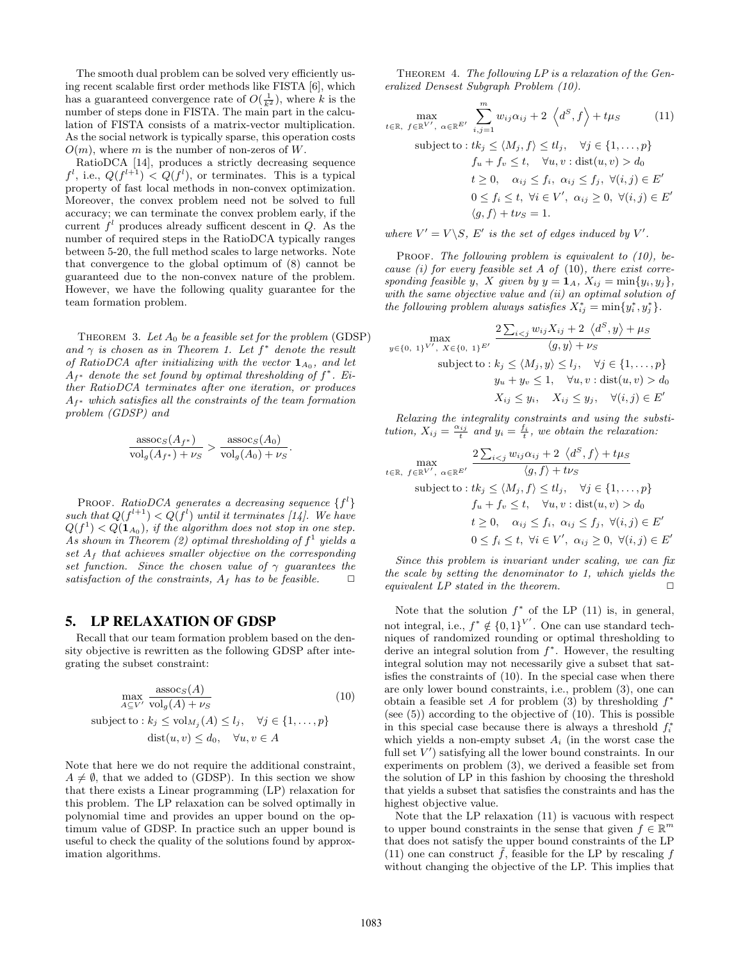The smooth dual problem can be solved very efficiently using recent scalable first order methods like FISTA [6], which has a guaranteed convergence rate of  $O(\frac{1}{k^2})$ , where k is the number of steps done in FISTA. The main part in the calculation of FISTA consists of a matrix-vector multiplication. As the social network is typically sparse, this operation costs  $O(m)$ , where m is the number of non-zeros of W.

RatioDCA [14], produces a strictly decreasing sequence  $f^l$ , i.e.,  $Q(f^{l+1}) < Q(f^l)$ , or terminates. This is a typical property of fast local methods in non-convex optimization. Moreover, the convex problem need not be solved to full accuracy; we can terminate the convex problem early, if the current  $f^l$  produces already sufficent descent in  $Q$ . As the number of required steps in the RatioDCA typically ranges between 5-20, the full method scales to large networks. Note that convergence to the global optimum of (8) cannot be guaranteed due to the non-convex nature of the problem. However, we have the following quality guarantee for the team formation problem.

Theorem 3. *Let* A<sup>0</sup> *be a feasible set for the problem* (GDSP) and  $\gamma$  *is chosen as in Theorem 1. Let*  $f^*$  *denote the result of RatioDCA after initializing with the vector*  $\mathbf{1}_{A_0}$ *, and let*  $A_{f^*}$  denote the set found by optimal thresholding of  $f^*$ . Ei*ther RatioDCA terminates after one iteration, or produces* Af<sup>∗</sup> *which satisfies all the constraints of the team formation problem (GDSP) and*

$$
\frac{\operatorname{assoc}_S(A_{f^*})}{\operatorname{vol}_g(A_{f^*}) + \nu_S} > \frac{\operatorname{assoc}_S(A_0)}{\operatorname{vol}_g(A_0) + \nu_S}.
$$

PROOF. RatioDCA generates a decreasing sequence  $\{f^l\}$ such that  $Q(f^{l+1}) < Q(f^l)$  until it terminates [14]. We have  $Q(f^1) < Q(\mathbf{1}_{A_0})$ , if the algorithm does not stop in one step. *As shown in Theorem (2) optimal thresholding of* f 1 *yields a set* A<sup>f</sup> *that achieves smaller objective on the corresponding set function. Since the chosen value of*  $\gamma$  *guarantees the satisfaction of the constraints,*  $A_f$  *has to be feasible.*  $\Box$ 

# **5. LP RELAXATION OF GDSP**

Recall that our team formation problem based on the density objective is rewritten as the following GDSP after integrating the subset constraint:

$$
\max_{A \subseteq V'} \frac{\operatorname{assoc}_S(A)}{\operatorname{vol}_g(A) + \nu_S}
$$
\n
$$
\text{subject to: } k_j \le \operatorname{vol}_{M_j}(A) \le l_j, \quad \forall j \in \{1, \dots, p\}
$$
\n
$$
\operatorname{dist}(u, v) \le d_0, \quad \forall u, v \in A
$$
\n
$$
(10)
$$

Note that here we do not require the additional constraint,  $A \neq \emptyset$ , that we added to (GDSP). In this section we show that there exists a Linear programming (LP) relaxation for this problem. The LP relaxation can be solved optimally in polynomial time and provides an upper bound on the optimum value of GDSP. In practice such an upper bound is useful to check the quality of the solutions found by approximation algorithms.

THEOREM 4. The following LP is a relaxation of the Gen*eralized Densest Subgraph Problem (10).*

$$
\max_{t \in \mathbb{R}, f \in \mathbb{R}^{V'}, \alpha \in \mathbb{R}^{E'}} \sum_{i,j=1}^{m} w_{ij} \alpha_{ij} + 2 \langle d^S, f \rangle + t\mu_S \qquad (11)
$$
\nsubject to:  $tk_j \le \langle M_j, f \rangle \le tl_j, \quad \forall j \in \{1, ..., p\}$   
\n $f_u + f_v \le t, \quad \forall u, v : \text{dist}(u, v) > d_0$   
\n $t \ge 0, \quad \alpha_{ij} \le f_i, \quad \alpha_{ij} \le f_j, \quad \forall (i, j) \in E'$   
\n $0 \le f_i \le t, \quad \forall i \in V', \quad \alpha_{ij} \ge 0, \quad \forall (i, j) \in E'$   
\n $\langle g, f \rangle + t\nu_S = 1.$ 

where  $V' = V \setminus S$ , E' is the set of edges induced by V'.

PROOF. The following problem is equivalent to (10), be*cause (i) for every feasible set* A *of* (10)*, there exist corresponding feasible* y, X given by  $y = \mathbf{1}_A$ ,  $X_{ij} = \min\{y_i, y_j\}$ , *with the same objective value and (ii) an optimal solution of the following problem always satisfies*  $X_{ij}^* = \min\{y_i^*, y_j^*\}.$ 

$$
\max_{y \in \{0, 1\}^{V'}, X \in \{0, 1\}^{E'}} \frac{2 \sum_{i < j} w_{ij} X_{ij} + 2 \langle d^S, y \rangle + \mu_S}{\langle g, y \rangle + \nu_S}
$$
\n
$$
\text{subject to: } k_j \le \langle M_j, y \rangle \le l_j, \quad \forall j \in \{1, \dots, p\}
$$
\n
$$
y_u + y_v \le 1, \quad \forall u, v : \text{dist}(u, v) > d_0
$$
\n
$$
X_{ij} \le y_i, \quad X_{ij} \le y_j, \quad \forall (i, j) \in E'
$$

*Relaxing the integrality constraints and using the substitution,*  $X_{ij} = \frac{\alpha_{ij}}{t}$  and  $y_i = \frac{f_i}{t}$ , we obtain the relaxation:

$$
\max_{t \in \mathbb{R}, f \in \mathbb{R}^{V'}, \alpha \in \mathbb{R}^{E'}} \frac{2 \sum_{i < j} w_{ij} \alpha_{ij} + 2 \langle d^S, f \rangle + t\mu_S}{\langle g, f \rangle + t\nu_S}
$$
\nsubject to:  $tk_j \leq \langle M_j, f \rangle \leq tl_j, \quad \forall j \in \{1, ..., p\}$   
\n $f_u + f_v \leq t, \quad \forall u, v : \text{dist}(u, v) > d_0$   
\n $t \geq 0, \quad \alpha_{ij} \leq f_i, \quad \alpha_{ij} \leq f_j, \quad \forall (i, j) \in E'$   
\n $0 \leq f_i \leq t, \quad \forall i \in V', \quad \alpha_{ij} \geq 0, \quad \forall (i, j) \in E'$ 

*Since this problem is invariant under scaling, we can fix the scale by setting the denominator to 1, which yields the*  $equivalent LP stated in the theorem.$ 

Note that the solution  $f^*$  of the LP (11) is, in general, not integral, i.e.,  $f^* \notin \{0,1\}^{V'}$ . One can use standard techniques of randomized rounding or optimal thresholding to derive an integral solution from  $f^*$ . However, the resulting integral solution may not necessarily give a subset that satisfies the constraints of (10). In the special case when there are only lower bound constraints, i.e., problem (3), one can obtain a feasible set A for problem  $(3)$  by thresholding  $f^*$ (see  $(5)$ ) according to the objective of  $(10)$ . This is possible in this special case because there is always a threshold  $f_i^*$ which yields a non-empty subset  $A_i$  (in the worst case the full set  $V'$ ) satisfying all the lower bound constraints. In our experiments on problem (3), we derived a feasible set from the solution of LP in this fashion by choosing the threshold that yields a subset that satisfies the constraints and has the highest objective value.

Note that the LP relaxation (11) is vacuous with respect to upper bound constraints in the sense that given  $f \in \mathbb{R}^m$ that does not satisfy the upper bound constraints of the LP (11) one can construct  $\tilde{f}$ , feasible for the LP by rescaling f without changing the objective of the LP. This implies that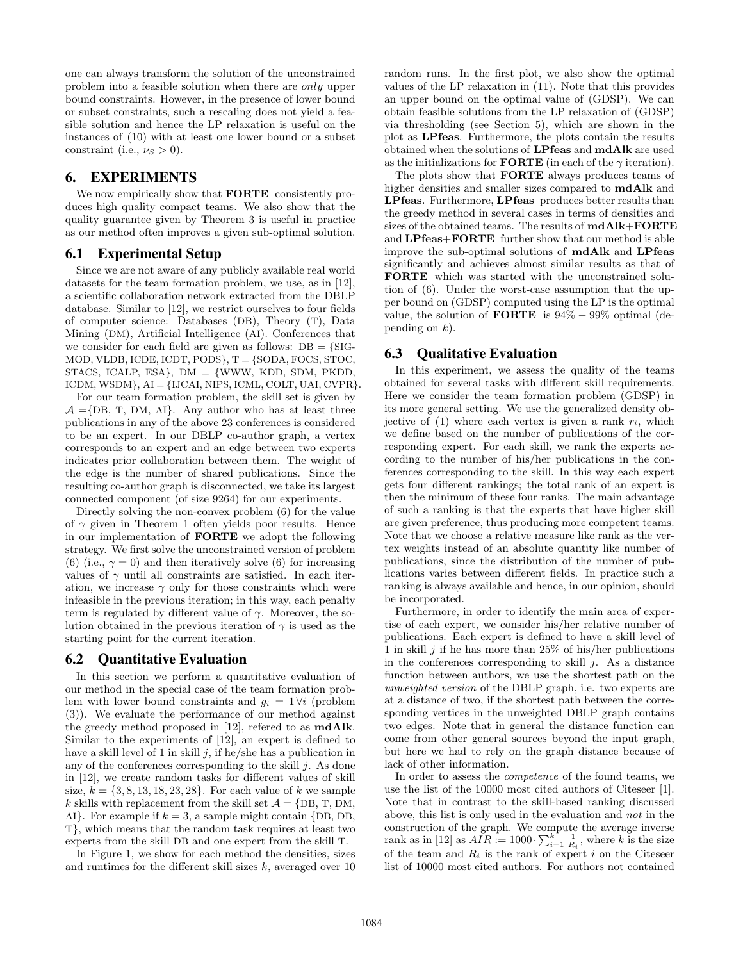one can always transform the solution of the unconstrained problem into a feasible solution when there are only upper bound constraints. However, in the presence of lower bound or subset constraints, such a rescaling does not yield a feasible solution and hence the LP relaxation is useful on the instances of (10) with at least one lower bound or a subset constraint (i.e.,  $\nu_S > 0$ ).

# **6. EXPERIMENTS**

We now empirically show that **FORTE** consistently produces high quality compact teams. We also show that the quality guarantee given by Theorem 3 is useful in practice as our method often improves a given sub-optimal solution.

#### **6.1 Experimental Setup**

Since we are not aware of any publicly available real world datasets for the team formation problem, we use, as in [12], a scientific collaboration network extracted from the DBLP database. Similar to [12], we restrict ourselves to four fields of computer science: Databases (DB), Theory (T), Data Mining (DM), Artificial Intelligence (AI). Conferences that we consider for each field are given as follows:  $DB = \{SIG - \}$ MOD, VLDB, ICDE, ICDT, PODS}, T = {SODA, FOCS, STOC, STACS, ICALP, ESA}, DM = {WWW, KDD, SDM, PKDD, ICDM, WSDM}, AI = {IJCAI, NIPS, ICML, COLT, UAI, CVPR}.

For our team formation problem, the skill set is given by  $A = {DB, T, DM, AI}$ . Any author who has at least three publications in any of the above 23 conferences is considered to be an expert. In our DBLP co-author graph, a vertex corresponds to an expert and an edge between two experts indicates prior collaboration between them. The weight of the edge is the number of shared publications. Since the resulting co-author graph is disconnected, we take its largest connected component (of size 9264) for our experiments.

Directly solving the non-convex problem (6) for the value of  $\gamma$  given in Theorem 1 often yields poor results. Hence in our implementation of FORTE we adopt the following strategy. We first solve the unconstrained version of problem (6) (i.e.,  $\gamma = 0$ ) and then iteratively solve (6) for increasing values of  $\gamma$  until all constraints are satisfied. In each iteration, we increase  $\gamma$  only for those constraints which were infeasible in the previous iteration; in this way, each penalty term is regulated by different value of  $\gamma$ . Moreover, the solution obtained in the previous iteration of  $\gamma$  is used as the starting point for the current iteration.

#### **6.2 Quantitative Evaluation**

In this section we perform a quantitative evaluation of our method in the special case of the team formation problem with lower bound constraints and  $g_i = 1 \forall i$  (problem (3)). We evaluate the performance of our method against the greedy method proposed in [12], refered to as mdAlk. Similar to the experiments of [12], an expert is defined to have a skill level of 1 in skill  $j$ , if he/she has a publication in any of the conferences corresponding to the skill  $j$ . As done in [12], we create random tasks for different values of skill size,  $k = \{3, 8, 13, 18, 23, 28\}$ . For each value of k we sample k skills with replacement from the skill set  $\mathcal{A} = \{DB, T, DM,$ AI}. For example if  $k = 3$ , a sample might contain  $\{DB, DB, \}$ T}, which means that the random task requires at least two experts from the skill DB and one expert from the skill T.

In Figure 1, we show for each method the densities, sizes and runtimes for the different skill sizes  $k$ , averaged over 10 random runs. In the first plot, we also show the optimal values of the LP relaxation in (11). Note that this provides an upper bound on the optimal value of (GDSP). We can obtain feasible solutions from the LP relaxation of (GDSP) via thresholding (see Section 5), which are shown in the plot as LPfeas. Furthermore, the plots contain the results obtained when the solutions of LPfeas and mdAlk are used as the initializations for **FORTE** (in each of the  $\gamma$  iteration).

The plots show that FORTE always produces teams of higher densities and smaller sizes compared to **mdAlk** and LPfeas. Furthermore, LPfeas produces better results than the greedy method in several cases in terms of densities and sizes of the obtained teams. The results of mdAlk+FORTE and LPfeas+FORTE further show that our method is able improve the sub-optimal solutions of mdAlk and LPfeas significantly and achieves almost similar results as that of FORTE which was started with the unconstrained solution of (6). Under the worst-case assumption that the upper bound on (GDSP) computed using the LP is the optimal value, the solution of **FORTE** is  $94\% - 99\%$  optimal (depending on  $k$ ).

### **6.3 Qualitative Evaluation**

In this experiment, we assess the quality of the teams obtained for several tasks with different skill requirements. Here we consider the team formation problem (GDSP) in its more general setting. We use the generalized density objective of  $(1)$  where each vertex is given a rank  $r_i$ , which we define based on the number of publications of the corresponding expert. For each skill, we rank the experts according to the number of his/her publications in the conferences corresponding to the skill. In this way each expert gets four different rankings; the total rank of an expert is then the minimum of these four ranks. The main advantage of such a ranking is that the experts that have higher skill are given preference, thus producing more competent teams. Note that we choose a relative measure like rank as the vertex weights instead of an absolute quantity like number of publications, since the distribution of the number of publications varies between different fields. In practice such a ranking is always available and hence, in our opinion, should be incorporated.

Furthermore, in order to identify the main area of expertise of each expert, we consider his/her relative number of publications. Each expert is defined to have a skill level of 1 in skill  $j$  if he has more than 25% of his/her publications in the conferences corresponding to skill  $j$ . As a distance function between authors, we use the shortest path on the *unweighted version* of the DBLP graph, i.e. two experts are at a distance of two, if the shortest path between the corresponding vertices in the unweighted DBLP graph contains two edges. Note that in general the distance function can come from other general sources beyond the input graph, but here we had to rely on the graph distance because of lack of other information.

In order to assess the *competence* of the found teams, we use the list of the 10000 most cited authors of Citeseer [1]. Note that in contrast to the skill-based ranking discussed above, this list is only used in the evaluation and *not* in the construction of the graph. We compute the average inverse rank as in [12] as  $AIR := 1000 \cdot \sum_{i=1}^{k} \frac{1}{R_i}$ , where k is the size of the team and  $R_i$  is the rank of expert i on the Citeseer list of 10000 most cited authors. For authors not contained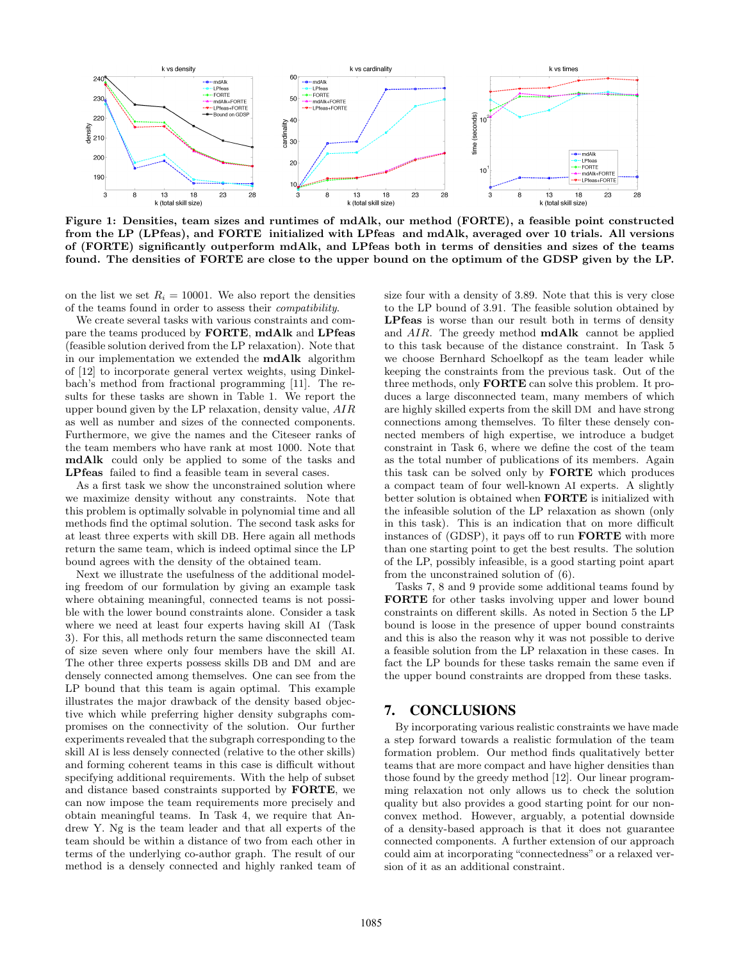

Figure 1: Densities, team sizes and runtimes of mdAlk, our method (FORTE), a feasible point constructed from the LP (LPfeas), and FORTE initialized with LPfeas and mdAlk, averaged over 10 trials. All versions of (FORTE) significantly outperform mdAlk, and LPfeas both in terms of densities and sizes of the teams found. The densities of FORTE are close to the upper bound on the optimum of the GDSP given by the LP.

on the list we set  $R_i = 10001$ . We also report the densities of the teams found in order to assess their *compatibility*.

We create several tasks with various constraints and compare the teams produced by FORTE, mdAlk and LPfeas (feasible solution derived from the LP relaxation). Note that in our implementation we extended the mdAlk algorithm of [12] to incorporate general vertex weights, using Dinkelbach's method from fractional programming [11]. The results for these tasks are shown in Table 1. We report the upper bound given by the LP relaxation, density value, AIR as well as number and sizes of the connected components. Furthermore, we give the names and the Citeseer ranks of the team members who have rank at most 1000. Note that mdAlk could only be applied to some of the tasks and LPfeas failed to find a feasible team in several cases.

As a first task we show the unconstrained solution where we maximize density without any constraints. Note that this problem is optimally solvable in polynomial time and all methods find the optimal solution. The second task asks for at least three experts with skill DB. Here again all methods return the same team, which is indeed optimal since the LP bound agrees with the density of the obtained team.

Next we illustrate the usefulness of the additional modeling freedom of our formulation by giving an example task where obtaining meaningful, connected teams is not possible with the lower bound constraints alone. Consider a task where we need at least four experts having skill AI (Task 3). For this, all methods return the same disconnected team of size seven where only four members have the skill AI. The other three experts possess skills DB and DM and are densely connected among themselves. One can see from the LP bound that this team is again optimal. This example illustrates the major drawback of the density based objective which while preferring higher density subgraphs compromises on the connectivity of the solution. Our further experiments revealed that the subgraph corresponding to the skill AI is less densely connected (relative to the other skills) and forming coherent teams in this case is difficult without specifying additional requirements. With the help of subset and distance based constraints supported by FORTE, we can now impose the team requirements more precisely and obtain meaningful teams. In Task 4, we require that Andrew Y. Ng is the team leader and that all experts of the team should be within a distance of two from each other in terms of the underlying co-author graph. The result of our method is a densely connected and highly ranked team of size four with a density of 3.89. Note that this is very close to the LP bound of 3.91. The feasible solution obtained by LPfeas is worse than our result both in terms of density and AIR. The greedy method mdAlk cannot be applied to this task because of the distance constraint. In Task 5 we choose Bernhard Schoelkopf as the team leader while keeping the constraints from the previous task. Out of the three methods, only FORTE can solve this problem. It produces a large disconnected team, many members of which are highly skilled experts from the skill DM and have strong connections among themselves. To filter these densely connected members of high expertise, we introduce a budget constraint in Task 6, where we define the cost of the team as the total number of publications of its members. Again this task can be solved only by FORTE which produces a compact team of four well-known AI experts. A slightly better solution is obtained when FORTE is initialized with the infeasible solution of the LP relaxation as shown (only in this task). This is an indication that on more difficult instances of (GDSP), it pays off to run FORTE with more than one starting point to get the best results. The solution of the LP, possibly infeasible, is a good starting point apart from the unconstrained solution of (6).

Tasks 7, 8 and 9 provide some additional teams found by FORTE for other tasks involving upper and lower bound constraints on different skills. As noted in Section 5 the LP bound is loose in the presence of upper bound constraints and this is also the reason why it was not possible to derive a feasible solution from the LP relaxation in these cases. In fact the LP bounds for these tasks remain the same even if the upper bound constraints are dropped from these tasks.

# **7. CONCLUSIONS**

By incorporating various realistic constraints we have made a step forward towards a realistic formulation of the team formation problem. Our method finds qualitatively better teams that are more compact and have higher densities than those found by the greedy method [12]. Our linear programming relaxation not only allows us to check the solution quality but also provides a good starting point for our nonconvex method. However, arguably, a potential downside of a density-based approach is that it does not guarantee connected components. A further extension of our approach could aim at incorporating "connectedness" or a relaxed version of it as an additional constraint.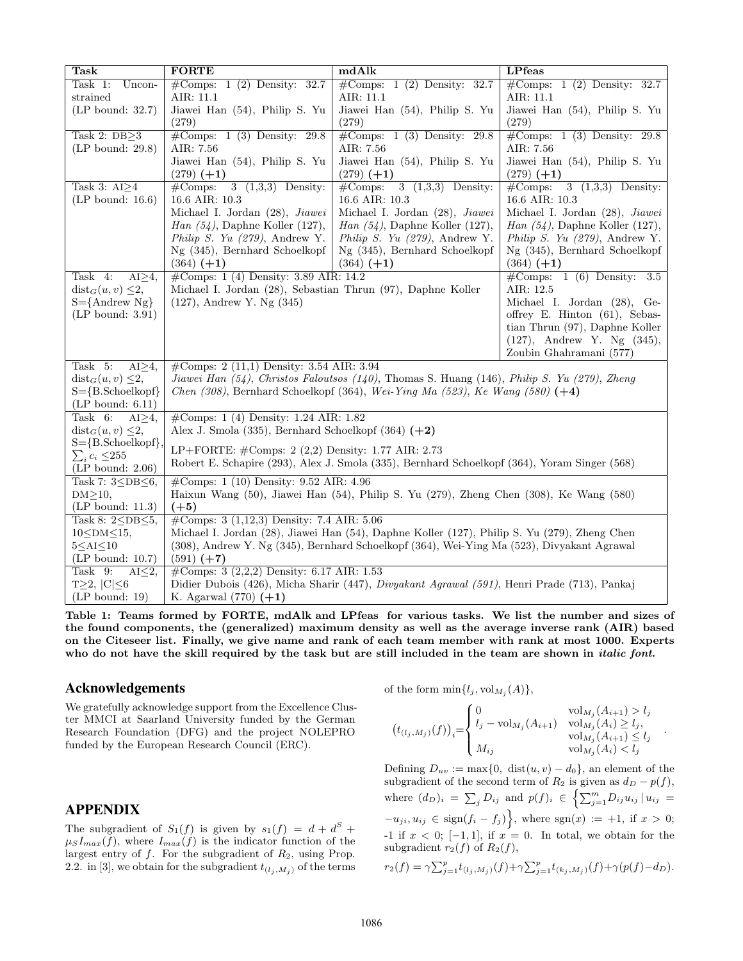| <b>Task</b>                                 | <b>FORTE</b>                                                                                         | mdAlk                                                                 | <b>LPfeas</b>                                                         |
|---------------------------------------------|------------------------------------------------------------------------------------------------------|-----------------------------------------------------------------------|-----------------------------------------------------------------------|
| Task 1:<br>Uncon-                           | $\#\mathrm{Comps}:$ 1 (2) Density: 32.7                                                              | $1(2)$ Density: 32.7<br>#Comps:                                       | #Comps: 1 (2) Density: 32.7                                           |
| strained                                    | AIR: 11.1                                                                                            | AIR: 11.1                                                             | AIR: 11.1                                                             |
| $(LP$ bound: 32.7)                          | Jiawei Han (54), Philip S. Yu                                                                        | Jiawei Han (54), Philip S. Yu                                         | Jiawei Han (54), Philip S. Yu                                         |
|                                             | (279)                                                                                                | (279)                                                                 | (279)                                                                 |
| Task 2: $DB \geq 3$                         | $\#\mathrm{Comps}:$ 1 (3) Density: 29.8                                                              | #Comps: 1 (3) Density: 29.8                                           | #Comps: 1 (3) Density: 29.8                                           |
| (LP bound: 29.8)                            | AIR: 7.56                                                                                            | AIR: 7.56                                                             | AIR: 7.56                                                             |
|                                             | Jiawei Han (54), Philip S. Yu                                                                        | Jiawei Han (54), Philip S. Yu                                         | Jiawei Han (54), Philip S. Yu                                         |
|                                             | $(279) (+1)$                                                                                         | $(279) (+1)$                                                          | $(279) (+1)$                                                          |
| Task 3: $AI>4$                              | $(1,3,3)$ Density:<br>#Comps:<br>3                                                                   | $\overline{\text{\#Comps}:}$<br>$(1,3,3)$ Density:<br>3               | $(1,3,3)$ Density:<br>#Comps:<br>3 <sup>1</sup>                       |
| $(LP$ bound: 16.6)                          | $16.6$ AIR: $10.3$                                                                                   | 16.6 AIR: 10.3                                                        | 16.6 AIR: 10.3                                                        |
|                                             | Michael I. Jordan (28), Jiawei                                                                       | Michael I. Jordan (28), Jiawei                                        | Michael I. Jordan (28), Jiawei                                        |
|                                             | Han $(54)$ , Daphne Koller (127),<br>Philip S. Yu $(279)$ , Andrew Y.                                | Han $(54)$ , Daphne Koller (127),<br>Philip S. Yu $(279)$ , Andrew Y. | Han $(54)$ , Daphne Koller (127),<br>Philip S. Yu $(279)$ , Andrew Y. |
|                                             | Ng (345), Bernhard Schoelkopf                                                                        | Ng (345), Bernhard Schoelkopf                                         | Ng (345), Bernhard Schoelkopf                                         |
|                                             | $(364) (+1)$                                                                                         | $(364) (+1)$                                                          | $(364) (+1)$                                                          |
| Task 4:<br>$AI \geq 4$ ,                    | #Comps: 1 (4) Density: 3.89 AIR: 14.2                                                                |                                                                       | #Comps: 1 (6) Density: 3.5                                            |
| $dist_G(u, v) \leq 2$ ,                     | Michael I. Jordan (28), Sebastian Thrun (97), Daphne Koller                                          |                                                                       | AIR: 12.5                                                             |
| $S = \{Andrew Ng\}$                         | $(127)$ , Andrew Y. Ng $(345)$                                                                       |                                                                       | Michael I. Jordan (28), Ge-                                           |
| $(LP$ bound: 3.91)                          |                                                                                                      |                                                                       | offrey E. Hinton $(61)$ , Sebas-                                      |
|                                             |                                                                                                      |                                                                       | tian Thrun (97), Daphne Koller                                        |
|                                             |                                                                                                      |                                                                       | $(127)$ , Andrew Y. Ng $(345)$ ,                                      |
|                                             |                                                                                                      |                                                                       | Zoubin Ghahramani (577)                                               |
| Task 5:<br>$AI \geq 4$ ,                    | $\#Comps: 2(11,1)$ Density: 3.54 AIR: 3.94                                                           |                                                                       |                                                                       |
| $dist_G(u, v) \leq 2$ ,                     | Jiawei Han $(54)$ , Christos Faloutsos $(140)$ , Thomas S. Huang $(146)$ , Philip S. Yu (279), Zheng |                                                                       |                                                                       |
| $S = {B.Schoelkopf}$                        | Chen (308), Bernhard Schoelkopf (364), Wei-Ying Ma (523), Ke Wang (580) $(+4)$                       |                                                                       |                                                                       |
| $(LP$ bound: 6.11)                          |                                                                                                      |                                                                       |                                                                       |
| Task 6:<br>$AI \geq 4$ ,                    | $\# \text{Comps:}$ 1 (4) Density: 1.24 AIR: 1.82                                                     |                                                                       |                                                                       |
| $dist_G(u, v) \leq 2$ ,                     | Alex J. Smola $(335)$ , Bernhard Schoelkopf $(364)$ $(+2)$                                           |                                                                       |                                                                       |
| $S = {B.Schoelkopf}$                        | LP+FORTE: $\# \text{Comps: } 2$ (2,2) Density: 1.77 AIR: 2.73                                        |                                                                       |                                                                       |
| $\sum_i c_i \leq 255$<br>$(LP$ bound: 2.06) | Robert E. Schapire (293), Alex J. Smola (335), Bernhard Schoelkopf (364), Yoram Singer (568)         |                                                                       |                                                                       |
| Task 7: $3\leq$ DB $\leq$ 6,                | $#Comps: 1 (10) Density: 9.52 AIR: 4.96$                                                             |                                                                       |                                                                       |
| $DM>10$ ,                                   | Haixun Wang (50), Jiawei Han (54), Philip S. Yu (279), Zheng Chen (308), Ke Wang (580)               |                                                                       |                                                                       |
| (LP bound: 11.3)                            | $(+5)$                                                                                               |                                                                       |                                                                       |
| Task 8: $2 \leq DB \leq 5$ ,                | $\#Comps: 3 (1,12,3)$ Density: 7.4 AIR: 5.06                                                         |                                                                       |                                                                       |
| $10 \leq DM \leq 15$ ,                      | Michael I. Jordan (28), Jiawei Han (54), Daphne Koller (127), Philip S. Yu (279), Zheng Chen         |                                                                       |                                                                       |
| $5 \leq AI \leq 10$                         | (308), Andrew Y. Ng (345), Bernhard Schoelkopf (364), Wei-Ying Ma (523), Divyakant Agrawal           |                                                                       |                                                                       |
| $(LP$ bound: 10.7)                          | $(591) (+7)$                                                                                         |                                                                       |                                                                       |
| Task 9:<br>$AI \leq 2$ ,                    | $\# \text{Comps: } 3$ (2,2,2) Density: 6.17 AIR: 1.53                                                |                                                                       |                                                                       |
| $T\geq 2,  C \leq 6$                        | Didier Dubois (426), Micha Sharir (447), Divyakant Agrawal (591), Henri Prade (713), Pankaj          |                                                                       |                                                                       |
| (LP bound: 19)                              | K. Agarwal $(770) (+1)$                                                                              |                                                                       |                                                                       |

Table 1: Teams formed by FORTE, mdAlk and LPfeas for various tasks. We list the number and sizes of the found components, the (generalized) maximum density as well as the average inverse rank (AIR) based on the Citeseer list. Finally, we give name and rank of each team member with rank at most 1000. Experts who do not have the skill required by the task but are still included in the team are shown in *italic font*.

#### **Acknowledgements**

We gratefully acknowledge support from the Excellence Cluster MMCI at Saarland University funded by the German Research Foundation (DFG) and the project NOLEPRO funded by the European Research Council (ERC).

# **APPENDIX**

The subgradient of  $S_1(f)$  is given by  $s_1(f) = d + d^S +$  $\mu_S I_{max}(f)$ , where  $I_{max}(f)$  is the indicator function of the largest entry of  $f$ . For the subgradient of  $R_2$ , using Prop. 2.2. in [3], we obtain for the subgradient  $t_{(l_i, M_j)}$  of the terms of the form  $\min\{l_j, \text{vol}_{M_j}(A)\},\$ 

$$
(t_{(l_j,M_j)}(f))_i = \begin{cases} 0 & \text{vol}_{M_j}(A_{i+1}) > l_j \\ l_j - \text{vol}_{M_j}(A_{i+1}) & \text{vol}_{M_j}(A_i) \ge l_j, \\ M_{ij} & \text{vol}_{M_j}(A_i) < l_j \end{cases}
$$

.

Defining  $D_{uv} := \max\{0, \text{ dist}(u, v) - d_0\}$ , an element of the subgradient of the second term of  $R_2$  is given as  $d_D - p(f)$ , where  $(d_D)_i = \sum_j D_{ij}$  and  $p(f)_i \in \left\{ \sum_{j=1}^m D_{ij} u_{ij} \mid u_{ij} \right\}$  $-u_{ji}, u_{ij} \in \text{sign}(f_i - f_j)$ , where  $\text{sgn}(x) := +1$ , if  $x > 0$ ; -1 if  $x < 0$ ; [-1, 1], if  $x = 0$ . In total, we obtain for the subgradient  $r_2(f)$  of  $R_2(f)$ ,

$$
r_2(f) = \gamma \sum_{j=1}^p t_{(l_j,M_j)}(f) + \gamma \sum_{j=1}^p t_{(k_j,M_j)}(f) + \gamma(p(f) - d_D).
$$